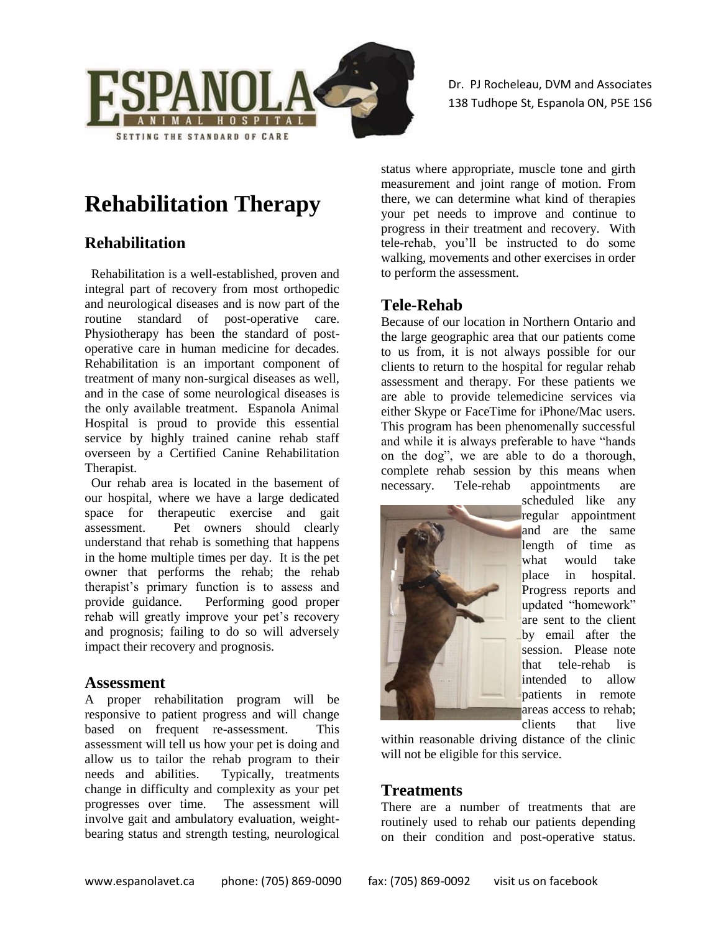

Dr. PJ Rocheleau, DVM and Associates 138 Tudhope St, Espanola ON, P5E 1S6

# **Rehabilitation Therapy**

## **Rehabilitation**

Rehabilitation is a well-established, proven and integral part of recovery from most orthopedic and neurological diseases and is now part of the routine standard of post-operative care. Physiotherapy has been the standard of postoperative care in human medicine for decades. Rehabilitation is an important component of treatment of many non-surgical diseases as well, and in the case of some neurological diseases is the only available treatment. Espanola Animal Hospital is proud to provide this essential service by highly trained canine rehab staff overseen by a Certified Canine Rehabilitation Therapist.

Our rehab area is located in the basement of our hospital, where we have a large dedicated space for therapeutic exercise and gait assessment. Pet owners should clearly understand that rehab is something that happens in the home multiple times per day. It is the pet owner that performs the rehab; the rehab therapist's primary function is to assess and provide guidance. Performing good proper rehab will greatly improve your pet's recovery and prognosis; failing to do so will adversely impact their recovery and prognosis.

#### **Assessment**

A proper rehabilitation program will be responsive to patient progress and will change based on frequent re-assessment. This assessment will tell us how your pet is doing and allow us to tailor the rehab program to their needs and abilities. Typically, treatments change in difficulty and complexity as your pet progresses over time. The assessment will involve gait and ambulatory evaluation, weightbearing status and strength testing, neurological

status where appropriate, muscle tone and girth measurement and joint range of motion. From there, we can determine what kind of therapies your pet needs to improve and continue to progress in their treatment and recovery. With tele-rehab, you'll be instructed to do some walking, movements and other exercises in order to perform the assessment.

# **Tele-Rehab**

Because of our location in Northern Ontario and the large geographic area that our patients come to us from, it is not always possible for our clients to return to the hospital for regular rehab assessment and therapy. For these patients we are able to provide telemedicine services via either Skype or FaceTime for iPhone/Mac users. This program has been phenomenally successful and while it is always preferable to have "hands on the dog", we are able to do a thorough, complete rehab session by this means when necessary. Tele-rehab appointments are



scheduled like any regular appointment and are the same length of time as what would take place in hospital. Progress reports and updated "homework" are sent to the client by email after the session. Please note that tele-rehab is intended to allow patients in remote areas access to rehab; clients that live

within reasonable driving distance of the clinic will not be eligible for this service.

## **Treatments**

There are a number of treatments that are routinely used to rehab our patients depending on their condition and post-operative status.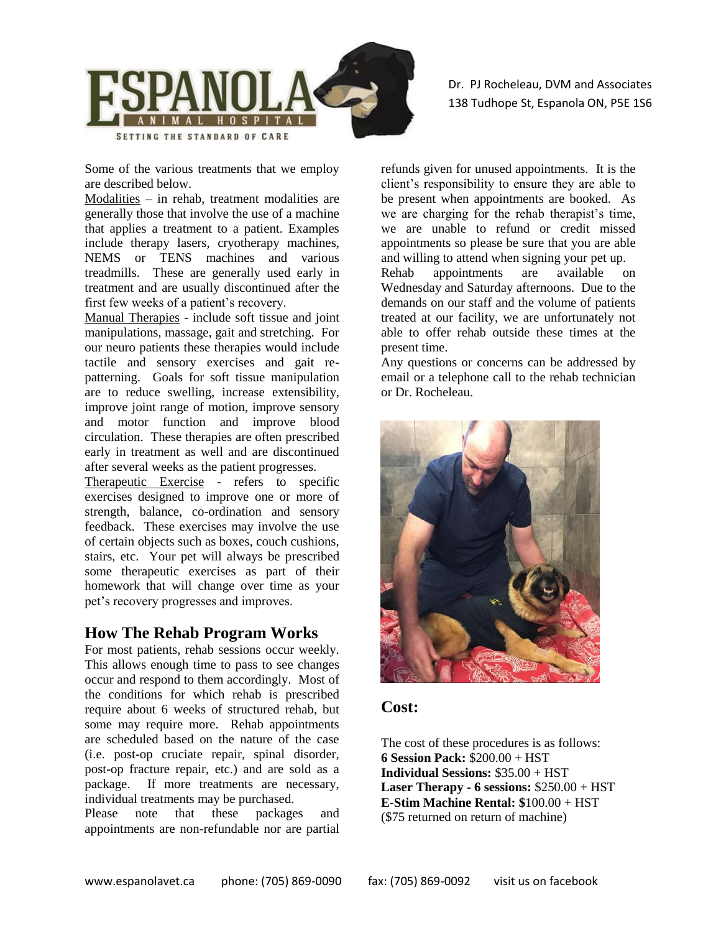

Dr. PJ Rocheleau, DVM and Associates 138 Tudhope St, Espanola ON, P5E 1S6

Some of the various treatments that we employ are described below.

Modalities – in rehab, treatment modalities are generally those that involve the use of a machine that applies a treatment to a patient. Examples include therapy lasers, cryotherapy machines, NEMS or TENS machines and various treadmills. These are generally used early in treatment and are usually discontinued after the first few weeks of a patient's recovery.

Manual Therapies - include soft tissue and joint manipulations, massage, gait and stretching. For our neuro patients these therapies would include tactile and sensory exercises and gait repatterning. Goals for soft tissue manipulation are to reduce swelling, increase extensibility, improve joint range of motion, improve sensory and motor function and improve blood circulation. These therapies are often prescribed early in treatment as well and are discontinued after several weeks as the patient progresses.

Therapeutic Exercise - refers to specific exercises designed to improve one or more of strength, balance, co-ordination and sensory feedback. These exercises may involve the use of certain objects such as boxes, couch cushions, stairs, etc. Your pet will always be prescribed some therapeutic exercises as part of their homework that will change over time as your pet's recovery progresses and improves.

#### **How The Rehab Program Works**

For most patients, rehab sessions occur weekly. This allows enough time to pass to see changes occur and respond to them accordingly. Most of the conditions for which rehab is prescribed require about 6 weeks of structured rehab, but some may require more. Rehab appointments are scheduled based on the nature of the case (i.e. post-op cruciate repair, spinal disorder, post-op fracture repair, etc.) and are sold as a package. If more treatments are necessary, individual treatments may be purchased.

Please note that these packages and appointments are non-refundable nor are partial refunds given for unused appointments. It is the client's responsibility to ensure they are able to be present when appointments are booked. As we are charging for the rehab therapist's time, we are unable to refund or credit missed appointments so please be sure that you are able and willing to attend when signing your pet up.

Rehab appointments are available on Wednesday and Saturday afternoons. Due to the demands on our staff and the volume of patients treated at our facility, we are unfortunately not able to offer rehab outside these times at the present time.

Any questions or concerns can be addressed by email or a telephone call to the rehab technician or Dr. Rocheleau.



## **Cost:**

The cost of these procedures is as follows: **6 Session Pack:** \$200.00 + HST **Individual Sessions:** \$35.00 + HST **Laser Therapy - 6 sessions:** \$250.00 + HST **E-Stim Machine Rental: \$**100.00 + HST (\$75 returned on return of machine)